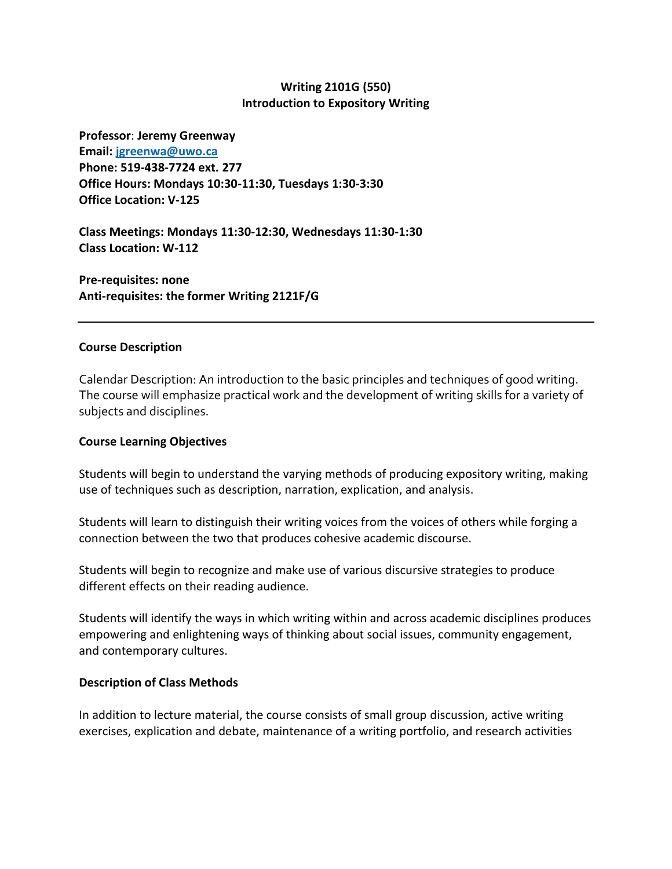# **Writing 2101G (550) Introduction to Expository Writing**

**Professor**: **Jeremy Greenway Email: [jgreenwa@uwo.ca](mailto:jgreenwa@uwo.ca) Phone: 519-438-7724 ext. 277 Office Hours: Mondays 10:30-11:30, Tuesdays 1:30-3:30 Office Location: V-125**

**Class Meetings: Mondays 11:30-12:30, Wednesdays 11:30-1:30 Class Location: W-112**

**Pre-requisites: none Anti-requisites: the former Writing 2121F/G**

# **Course Description**

Calendar Description: An introduction to the basic principles and techniques of good writing. The course will emphasize practical work and the development of writing skills for a variety of subjects and disciplines.

# **Course Learning Objectives**

Students will begin to understand the varying methods of producing expository writing, making use of techniques such as description, narration, explication, and analysis.

Students will learn to distinguish their writing voices from the voices of others while forging a connection between the two that produces cohesive academic discourse.

Students will begin to recognize and make use of various discursive strategies to produce different effects on their reading audience.

Students will identify the ways in which writing within and across academic disciplines produces empowering and enlightening ways of thinking about social issues, community engagement, and contemporary cultures.

# **Description of Class Methods**

In addition to lecture material, the course consists of small group discussion, active writing exercises, explication and debate, maintenance of a writing portfolio, and research activities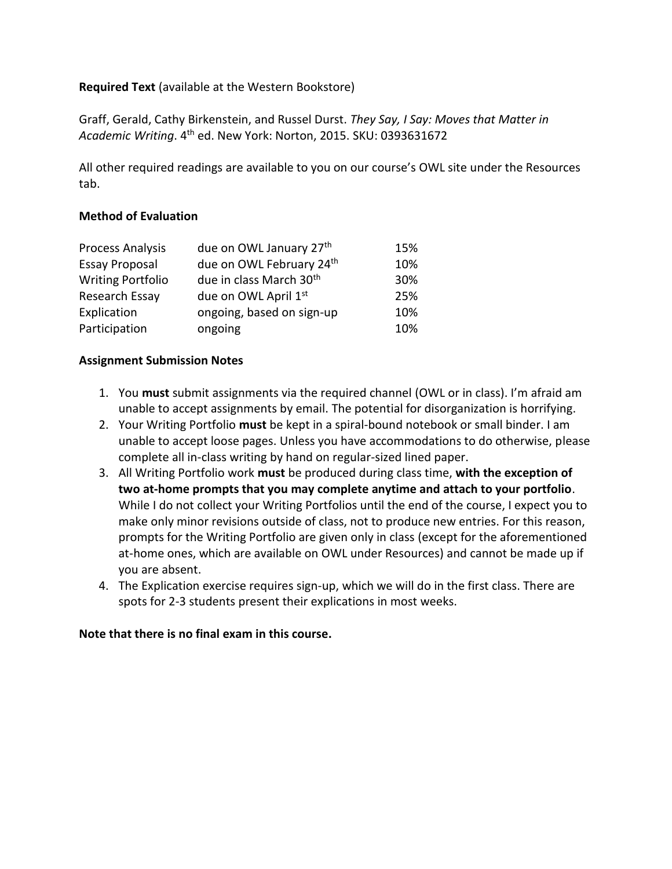# **Required Text** (available at the Western Bookstore)

Graff, Gerald, Cathy Birkenstein, and Russel Durst. *They Say, I Say: Moves that Matter in Academic Writing*. 4th ed. New York: Norton, 2015. SKU: 0393631672

All other required readings are available to you on our course's OWL site under the Resources tab.

# **Method of Evaluation**

| <b>Process Analysis</b>  | due on OWL January 27th             | 15% |
|--------------------------|-------------------------------------|-----|
| <b>Essay Proposal</b>    | due on OWL February 24th            | 10% |
| <b>Writing Portfolio</b> | due in class March 30 <sup>th</sup> | 30% |
| Research Essay           | due on OWL April 1st                | 25% |
| Explication              | ongoing, based on sign-up           | 10% |
| Participation            | ongoing                             | 10% |

# **Assignment Submission Notes**

- 1. You **must** submit assignments via the required channel (OWL or in class). I'm afraid am unable to accept assignments by email. The potential for disorganization is horrifying.
- 2. Your Writing Portfolio **must** be kept in a spiral-bound notebook or small binder. I am unable to accept loose pages. Unless you have accommodations to do otherwise, please complete all in-class writing by hand on regular-sized lined paper.
- 3. All Writing Portfolio work **must** be produced during class time, **with the exception of two at-home prompts that you may complete anytime and attach to your portfolio**. While I do not collect your Writing Portfolios until the end of the course, I expect you to make only minor revisions outside of class, not to produce new entries. For this reason, prompts for the Writing Portfolio are given only in class (except for the aforementioned at-home ones, which are available on OWL under Resources) and cannot be made up if you are absent.
- 4. The Explication exercise requires sign-up, which we will do in the first class. There are spots for 2-3 students present their explications in most weeks.

# **Note that there is no final exam in this course.**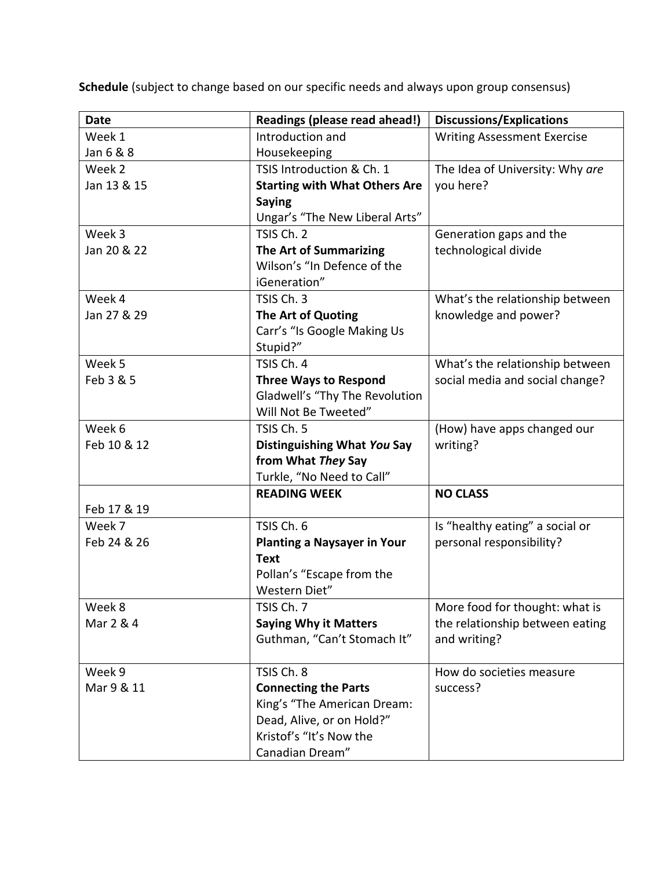**Schedule** (subject to change based on our specific needs and always upon group consensus)

| <b>Date</b> | Readings (please read ahead!)        | <b>Discussions/Explications</b>    |
|-------------|--------------------------------------|------------------------------------|
| Week 1      | Introduction and                     | <b>Writing Assessment Exercise</b> |
| Jan 6 & 8   | Housekeeping                         |                                    |
| Week 2      | TSIS Introduction & Ch. 1            | The Idea of University: Why are    |
| Jan 13 & 15 | <b>Starting with What Others Are</b> | you here?                          |
|             | <b>Saying</b>                        |                                    |
|             | Ungar's "The New Liberal Arts"       |                                    |
| Week 3      | TSIS Ch. 2                           | Generation gaps and the            |
| Jan 20 & 22 | The Art of Summarizing               | technological divide               |
|             | Wilson's "In Defence of the          |                                    |
|             | iGeneration"                         |                                    |
| Week 4      | TSIS Ch. 3                           | What's the relationship between    |
| Jan 27 & 29 | The Art of Quoting                   | knowledge and power?               |
|             | Carr's "Is Google Making Us          |                                    |
|             | Stupid?"                             |                                    |
| Week 5      | TSIS Ch. 4                           | What's the relationship between    |
| Feb 3 & 5   | <b>Three Ways to Respond</b>         | social media and social change?    |
|             | Gladwell's "Thy The Revolution       |                                    |
|             | Will Not Be Tweeted"                 |                                    |
| Week 6      | TSIS Ch. 5                           | (How) have apps changed our        |
| Feb 10 & 12 | Distinguishing What You Say          | writing?                           |
|             | from What They Say                   |                                    |
|             | Turkle, "No Need to Call"            |                                    |
|             | <b>READING WEEK</b>                  | <b>NO CLASS</b>                    |
| Feb 17 & 19 |                                      |                                    |
| Week 7      | TSIS Ch. 6                           | Is "healthy eating" a social or    |
| Feb 24 & 26 | <b>Planting a Naysayer in Your</b>   | personal responsibility?           |
|             | <b>Text</b>                          |                                    |
|             | Pollan's "Escape from the            |                                    |
|             | Western Diet"                        |                                    |
| Week 8      | TSIS Ch. 7                           | More food for thought: what is     |
| Mar 2 & 4   | <b>Saying Why it Matters</b>         | the relationship between eating    |
|             | Guthman, "Can't Stomach It"          | and writing?                       |
|             |                                      |                                    |
| Week 9      | TSIS Ch. 8                           | How do societies measure           |
| Mar 9 & 11  | <b>Connecting the Parts</b>          | success?                           |
|             | King's "The American Dream:          |                                    |
|             | Dead, Alive, or on Hold?"            |                                    |
|             | Kristof's "It's Now the              |                                    |
|             | Canadian Dream"                      |                                    |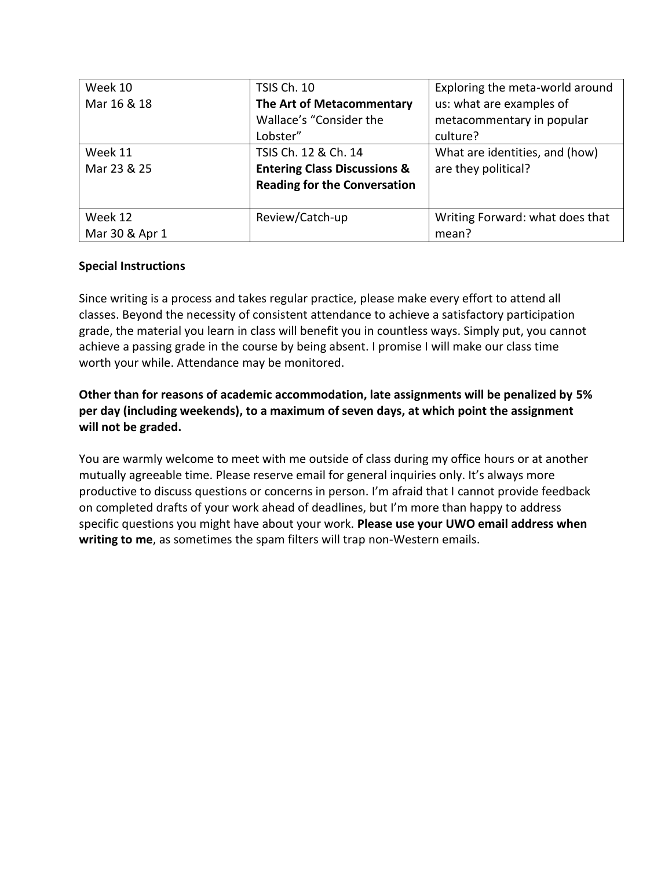| Week 10        | <b>TSIS Ch. 10</b>                      | Exploring the meta-world around |
|----------------|-----------------------------------------|---------------------------------|
| Mar 16 & 18    | The Art of Metacommentary               | us: what are examples of        |
|                | Wallace's "Consider the                 | metacommentary in popular       |
|                | Lobster"                                | culture?                        |
| Week 11        | TSIS Ch. 12 & Ch. 14                    | What are identities, and (how)  |
| Mar 23 & 25    | <b>Entering Class Discussions &amp;</b> | are they political?             |
|                | <b>Reading for the Conversation</b>     |                                 |
|                |                                         |                                 |
| Week 12        | Review/Catch-up                         | Writing Forward: what does that |
| Mar 30 & Apr 1 |                                         | mean?                           |

# **Special Instructions**

Since writing is a process and takes regular practice, please make every effort to attend all classes. Beyond the necessity of consistent attendance to achieve a satisfactory participation grade, the material you learn in class will benefit you in countless ways. Simply put, you cannot achieve a passing grade in the course by being absent. I promise I will make our class time worth your while. Attendance may be monitored.

# **Other than for reasons of academic accommodation, late assignments will be penalized by 5% per day (including weekends), to a maximum of seven days, at which point the assignment will not be graded.**

You are warmly welcome to meet with me outside of class during my office hours or at another mutually agreeable time. Please reserve email for general inquiries only. It's always more productive to discuss questions or concerns in person. I'm afraid that I cannot provide feedback on completed drafts of your work ahead of deadlines, but I'm more than happy to address specific questions you might have about your work. **Please use your UWO email address when writing to me**, as sometimes the spam filters will trap non-Western emails.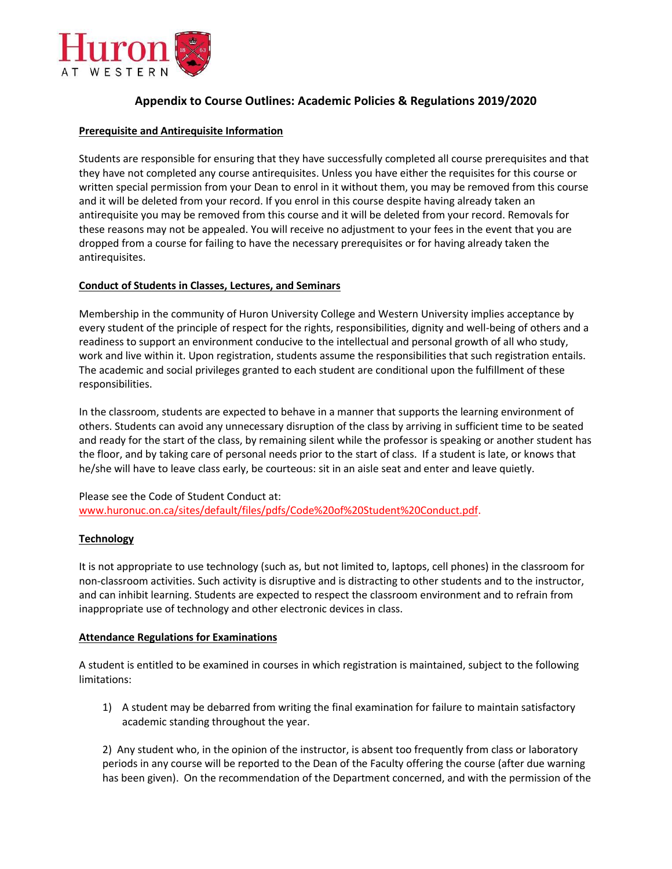

# **Appendix to Course Outlines: Academic Policies & Regulations 2019/2020**

#### **Prerequisite and Antirequisite Information**

Students are responsible for ensuring that they have successfully completed all course prerequisites and that they have not completed any course antirequisites. Unless you have either the requisites for this course or written special permission from your Dean to enrol in it without them, you may be removed from this course and it will be deleted from your record. If you enrol in this course despite having already taken an antirequisite you may be removed from this course and it will be deleted from your record. Removals for these reasons may not be appealed. You will receive no adjustment to your fees in the event that you are dropped from a course for failing to have the necessary prerequisites or for having already taken the antirequisites.

## **Conduct of Students in Classes, Lectures, and Seminars**

Membership in the community of Huron University College and Western University implies acceptance by every student of the principle of respect for the rights, responsibilities, dignity and well-being of others and a readiness to support an environment conducive to the intellectual and personal growth of all who study, work and live within it. Upon registration, students assume the responsibilities that such registration entails. The academic and social privileges granted to each student are conditional upon the fulfillment of these responsibilities.

In the classroom, students are expected to behave in a manner that supports the learning environment of others. Students can avoid any unnecessary disruption of the class by arriving in sufficient time to be seated and ready for the start of the class, by remaining silent while the professor is speaking or another student has the floor, and by taking care of personal needs prior to the start of class. If a student is late, or knows that he/she will have to leave class early, be courteous: sit in an aisle seat and enter and leave quietly.

Please see the Code of Student Conduct at: [www.huronuc.on.ca/sites/default/files/pdfs/Code%20of%20Student%20Conduct.pdf.](http://www.huronuc.on.ca/sites/default/files/pdfs/Code%20of%20Student%20Conduct.pdf)

#### **Technology**

It is not appropriate to use technology (such as, but not limited to, laptops, cell phones) in the classroom for non-classroom activities. Such activity is disruptive and is distracting to other students and to the instructor, and can inhibit learning. Students are expected to respect the classroom environment and to refrain from inappropriate use of technology and other electronic devices in class.

#### **Attendance Regulations for Examinations**

A student is entitled to be examined in courses in which registration is maintained, subject to the following limitations:

1) A student may be debarred from writing the final examination for failure to maintain satisfactory academic standing throughout the year.

2) Any student who, in the opinion of the instructor, is absent too frequently from class or laboratory periods in any course will be reported to the Dean of the Faculty offering the course (after due warning has been given). On the recommendation of the Department concerned, and with the permission of the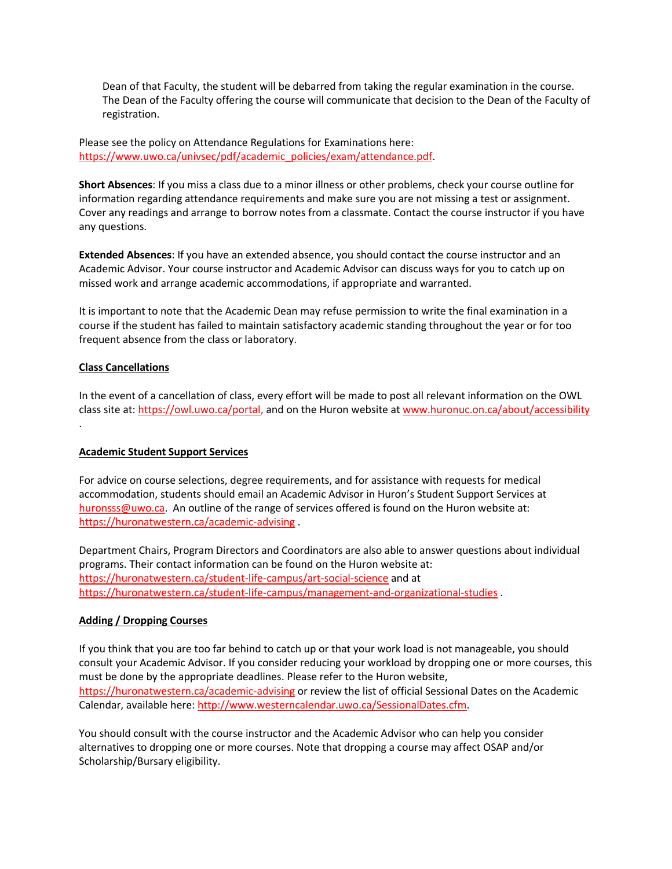Dean of that Faculty, the student will be debarred from taking the regular examination in the course. The Dean of the Faculty offering the course will communicate that decision to the Dean of the Faculty of registration.

Please see the policy on Attendance Regulations for Examinations here: [https://www.uwo.ca/univsec/pdf/academic\\_policies/exam/attendance.pdf.](https://www.uwo.ca/univsec/pdf/academic_policies/exam/attendance.pdf)

**Short Absences**: If you miss a class due to a minor illness or other problems, check your course outline for information regarding attendance requirements and make sure you are not missing a test or assignment. Cover any readings and arrange to borrow notes from a classmate. Contact the course instructor if you have any questions.

**Extended Absences**: If you have an extended absence, you should contact the course instructor and an Academic Advisor. Your course instructor and Academic Advisor can discuss ways for you to catch up on missed work and arrange academic accommodations, if appropriate and warranted.

It is important to note that the Academic Dean may refuse permission to write the final examination in a course if the student has failed to maintain satisfactory academic standing throughout the year or for too frequent absence from the class or laboratory.

## **Class Cancellations**

In the event of a cancellation of class, every effort will be made to post all relevant information on the OWL class site at: [https://owl.uwo.ca/portal,](https://owl.uwo.ca/portal) and on the Huron website at [www.huronuc.on.ca/about/accessibility](http://www.huronuc.on.ca/about/accessibility) .

#### **Academic Student Support Services**

For advice on course selections, degree requirements, and for assistance with requests for medical accommodation, students should email an Academic Advisor in Huron's Student Support Services at [huronsss@uwo.ca.](mailto:huronsss@uwo.ca) An outline of the range of services offered is found on the Huron website at: <https://huronatwestern.ca/academic-advising> .

Department Chairs, Program Directors and Coordinators are also able to answer questions about individual programs. Their contact information can be found on the Huron website at: <https://huronatwestern.ca/student-life-campus/art-social-science> and at <https://huronatwestern.ca/student-life-campus/management-and-organizational-studies> .

#### **Adding / Dropping Courses**

If you think that you are too far behind to catch up or that your work load is not manageable, you should consult your Academic Advisor. If you consider reducing your workload by dropping one or more courses, this must be done by the appropriate deadlines. Please refer to the Huron website, <https://huronatwestern.ca/academic-advising> or review the list of official Sessional Dates on the Academic Calendar, available here: [http://www.westerncalendar.uwo.ca/SessionalDates.cfm.](http://www.westerncalendar.uwo.ca/SessionalDates.cfm)

You should consult with the course instructor and the Academic Advisor who can help you consider alternatives to dropping one or more courses. Note that dropping a course may affect OSAP and/or Scholarship/Bursary eligibility.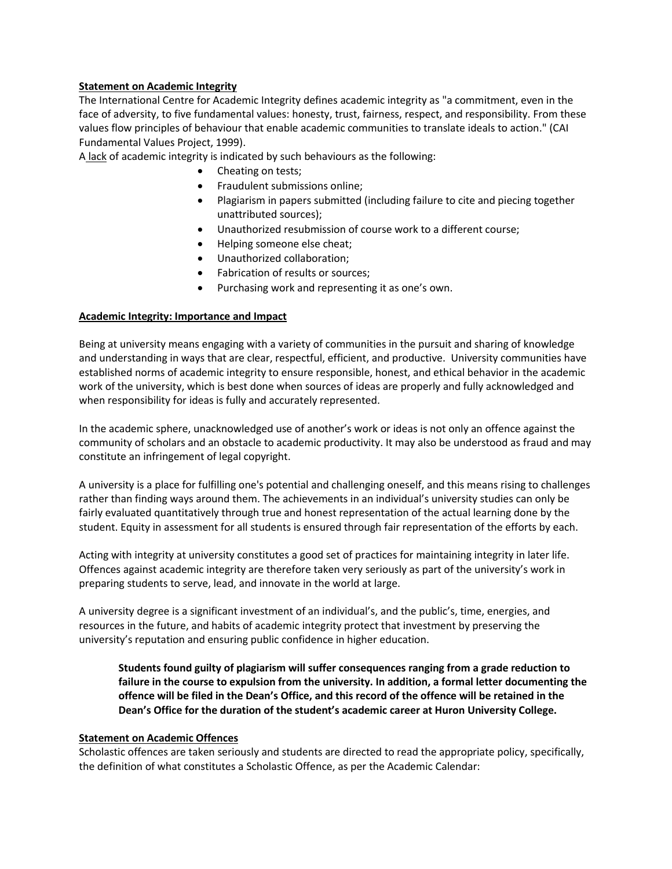## **Statement on Academic Integrity**

The International Centre for Academic Integrity defines academic integrity as "a commitment, even in the face of adversity, to five fundamental values: honesty, trust, fairness, respect, and responsibility. From these values flow principles of behaviour that enable academic communities to translate ideals to action." (CAI Fundamental Values Project, 1999).

A lack of academic integrity is indicated by such behaviours as the following:

- Cheating on tests;
- Fraudulent submissions online;
- Plagiarism in papers submitted (including failure to cite and piecing together unattributed sources);
- Unauthorized resubmission of course work to a different course;
- Helping someone else cheat;
- Unauthorized collaboration;
- Fabrication of results or sources;
- Purchasing work and representing it as one's own.

## **Academic Integrity: Importance and Impact**

Being at university means engaging with a variety of communities in the pursuit and sharing of knowledge and understanding in ways that are clear, respectful, efficient, and productive. University communities have established norms of academic integrity to ensure responsible, honest, and ethical behavior in the academic work of the university, which is best done when sources of ideas are properly and fully acknowledged and when responsibility for ideas is fully and accurately represented.

In the academic sphere, unacknowledged use of another's work or ideas is not only an offence against the community of scholars and an obstacle to academic productivity. It may also be understood as fraud and may constitute an infringement of legal copyright.

A university is a place for fulfilling one's potential and challenging oneself, and this means rising to challenges rather than finding ways around them. The achievements in an individual's university studies can only be fairly evaluated quantitatively through true and honest representation of the actual learning done by the student. Equity in assessment for all students is ensured through fair representation of the efforts by each.

Acting with integrity at university constitutes a good set of practices for maintaining integrity in later life. Offences against academic integrity are therefore taken very seriously as part of the university's work in preparing students to serve, lead, and innovate in the world at large.

A university degree is a significant investment of an individual's, and the public's, time, energies, and resources in the future, and habits of academic integrity protect that investment by preserving the university's reputation and ensuring public confidence in higher education.

**Students found guilty of plagiarism will suffer consequences ranging from a grade reduction to failure in the course to expulsion from the university. In addition, a formal letter documenting the offence will be filed in the Dean's Office, and this record of the offence will be retained in the Dean's Office for the duration of the student's academic career at Huron University College.**

#### **Statement on Academic Offences**

Scholastic offences are taken seriously and students are directed to read the appropriate policy, specifically, the definition of what constitutes a Scholastic Offence, as per the Academic Calendar: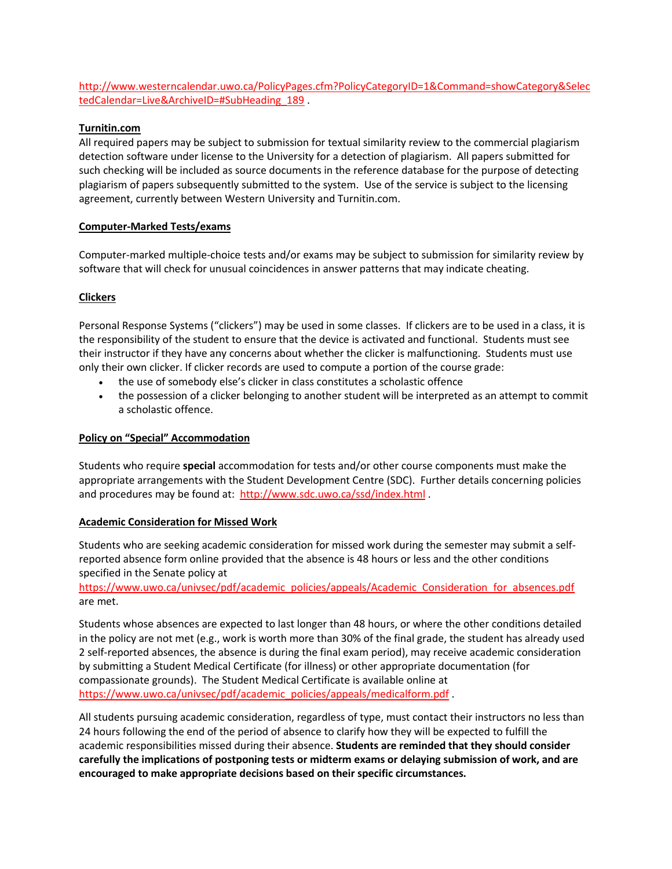[http://www.westerncalendar.uwo.ca/PolicyPages.cfm?PolicyCategoryID=1&Command=showCategory&Selec](http://www.westerncalendar.uwo.ca/PolicyPages.cfm?PolicyCategoryID=1&Command=showCategory&SelectedCalendar=Live&ArchiveID=#SubHeading_189) [tedCalendar=Live&ArchiveID=#SubHeading\\_189](http://www.westerncalendar.uwo.ca/PolicyPages.cfm?PolicyCategoryID=1&Command=showCategory&SelectedCalendar=Live&ArchiveID=#SubHeading_189).

## **Turnitin.com**

All required papers may be subject to submission for textual similarity review to the commercial plagiarism detection software under license to the University for a detection of plagiarism. All papers submitted for such checking will be included as source documents in the reference database for the purpose of detecting plagiarism of papers subsequently submitted to the system. Use of the service is subject to the licensing agreement, currently between Western University and Turnitin.com.

#### **Computer-Marked Tests/exams**

Computer-marked multiple-choice tests and/or exams may be subject to submission for similarity review by software that will check for unusual coincidences in answer patterns that may indicate cheating.

## **Clickers**

Personal Response Systems ("clickers") may be used in some classes. If clickers are to be used in a class, it is the responsibility of the student to ensure that the device is activated and functional. Students must see their instructor if they have any concerns about whether the clicker is malfunctioning. Students must use only their own clicker. If clicker records are used to compute a portion of the course grade:

- the use of somebody else's clicker in class constitutes a scholastic offence
- the possession of a clicker belonging to another student will be interpreted as an attempt to commit a scholastic offence.

#### **Policy on "Special" Accommodation**

Students who require **special** accommodation for tests and/or other course components must make the appropriate arrangements with the Student Development Centre (SDC). Further details concerning policies and procedures may be found at:<http://www.sdc.uwo.ca/ssd/index.html>.

#### **Academic Consideration for Missed Work**

Students who are seeking academic consideration for missed work during the semester may submit a selfreported absence form online provided that the absence is 48 hours or less and the other conditions specified in the Senate policy at

[https://www.uwo.ca/univsec/pdf/academic\\_policies/appeals/Academic\\_Consideration\\_for\\_absences.pdf](https://www.uwo.ca/univsec/pdf/academic_policies/appeals/Academic_Consideration_for_absences.pdf) are met.

Students whose absences are expected to last longer than 48 hours, or where the other conditions detailed in the policy are not met (e.g., work is worth more than 30% of the final grade, the student has already used 2 self-reported absences, the absence is during the final exam period), may receive academic consideration by submitting a Student Medical Certificate (for illness) or other appropriate documentation (for compassionate grounds). The Student Medical Certificate is available online at [https://www.uwo.ca/univsec/pdf/academic\\_policies/appeals/medicalform.pdf](https://www.uwo.ca/univsec/pdf/academic_policies/appeals/medicalform.pdf) .

All students pursuing academic consideration, regardless of type, must contact their instructors no less than 24 hours following the end of the period of absence to clarify how they will be expected to fulfill the academic responsibilities missed during their absence. **Students are reminded that they should consider carefully the implications of postponing tests or midterm exams or delaying submission of work, and are encouraged to make appropriate decisions based on their specific circumstances.**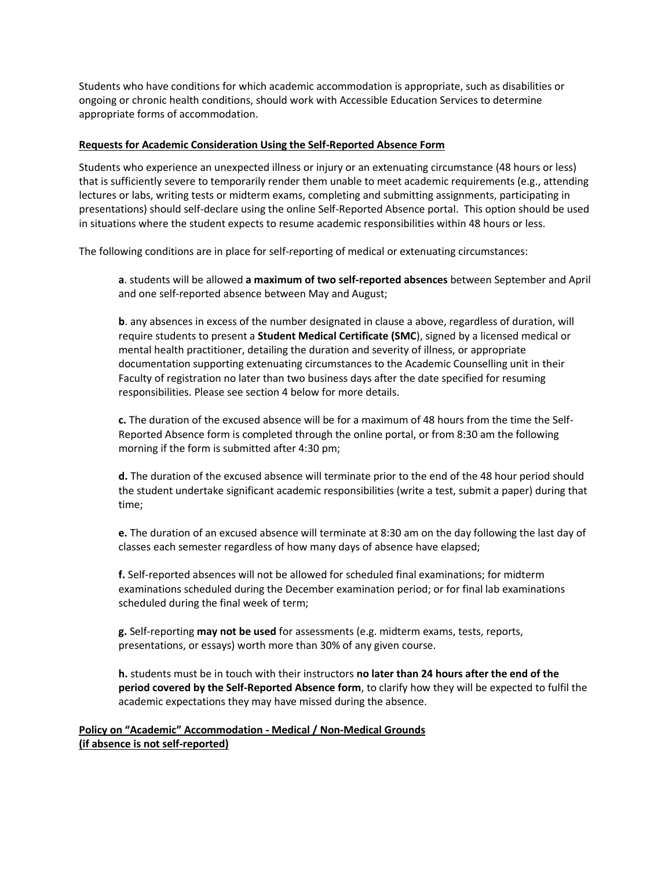Students who have conditions for which academic accommodation is appropriate, such as disabilities or ongoing or chronic health conditions, should work with Accessible Education Services to determine appropriate forms of accommodation.

#### **Requests for Academic Consideration Using the Self-Reported Absence Form**

Students who experience an unexpected illness or injury or an extenuating circumstance (48 hours or less) that is sufficiently severe to temporarily render them unable to meet academic requirements (e.g., attending lectures or labs, writing tests or midterm exams, completing and submitting assignments, participating in presentations) should self-declare using the online Self-Reported Absence portal. This option should be used in situations where the student expects to resume academic responsibilities within 48 hours or less.

The following conditions are in place for self-reporting of medical or extenuating circumstances:

**a**. students will be allowed **a maximum of two self-reported absences** between September and April and one self-reported absence between May and August;

**b**. any absences in excess of the number designated in clause a above, regardless of duration, will require students to present a **Student Medical Certificate (SMC**), signed by a licensed medical or mental health practitioner, detailing the duration and severity of illness, or appropriate documentation supporting extenuating circumstances to the Academic Counselling unit in their Faculty of registration no later than two business days after the date specified for resuming responsibilities. Please see section 4 below for more details.

**c.** The duration of the excused absence will be for a maximum of 48 hours from the time the Self-Reported Absence form is completed through the online portal, or from 8:30 am the following morning if the form is submitted after 4:30 pm;

**d.** The duration of the excused absence will terminate prior to the end of the 48 hour period should the student undertake significant academic responsibilities (write a test, submit a paper) during that time;

**e.** The duration of an excused absence will terminate at 8:30 am on the day following the last day of classes each semester regardless of how many days of absence have elapsed;

**f.** Self-reported absences will not be allowed for scheduled final examinations; for midterm examinations scheduled during the December examination period; or for final lab examinations scheduled during the final week of term;

**g.** Self-reporting **may not be used** for assessments (e.g. midterm exams, tests, reports, presentations, or essays) worth more than 30% of any given course.

**h.** students must be in touch with their instructors **no later than 24 hours after the end of the period covered by the Self-Reported Absence form**, to clarify how they will be expected to fulfil the academic expectations they may have missed during the absence.

**Policy on "Academic" Accommodation - Medical / Non-Medical Grounds (if absence is not self-reported)**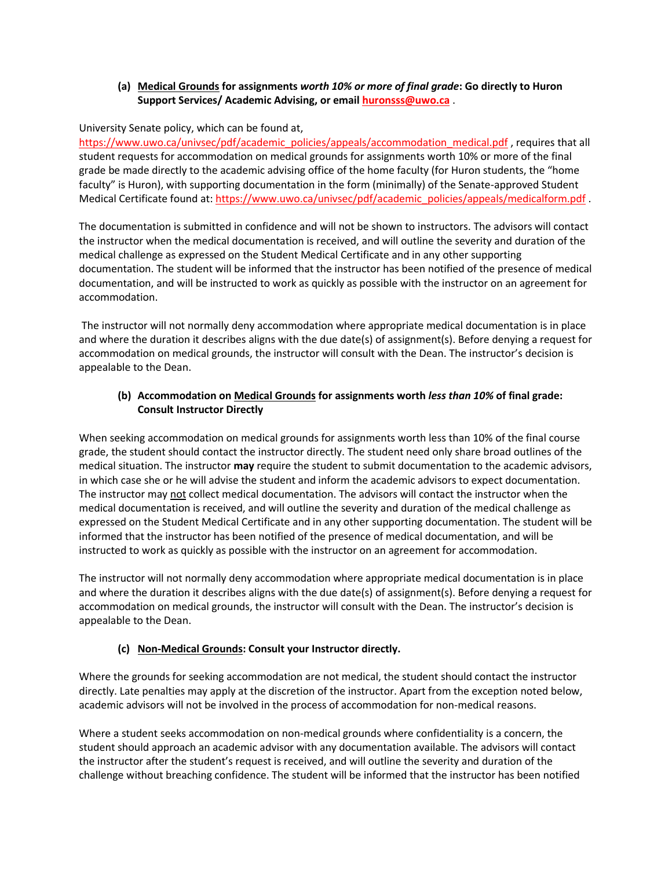# **(a) Medical Grounds for assignments** *worth 10% or more of final grade***: Go directly to Huron Support Services/ Academic Advising, or email [huronsss@uwo.ca](mailto:huronsss@uwo.ca)** .

## University Senate policy, which can be found at,

[https://www.uwo.ca/univsec/pdf/academic\\_policies/appeals/accommodation\\_medical.pdf](https://www.uwo.ca/univsec/pdf/academic_policies/appeals/accommodation_medical.pdf), requires that all student requests for accommodation on medical grounds for assignments worth 10% or more of the final grade be made directly to the academic advising office of the home faculty (for Huron students, the "home faculty" is Huron), with supporting documentation in the form (minimally) of the Senate-approved Student Medical Certificate found at[: https://www.uwo.ca/univsec/pdf/academic\\_policies/appeals/medicalform.pdf](https://www.uwo.ca/univsec/pdf/academic_policies/appeals/medicalform.pdf) .

The documentation is submitted in confidence and will not be shown to instructors. The advisors will contact the instructor when the medical documentation is received, and will outline the severity and duration of the medical challenge as expressed on the Student Medical Certificate and in any other supporting documentation. The student will be informed that the instructor has been notified of the presence of medical documentation, and will be instructed to work as quickly as possible with the instructor on an agreement for accommodation.

The instructor will not normally deny accommodation where appropriate medical documentation is in place and where the duration it describes aligns with the due date(s) of assignment(s). Before denying a request for accommodation on medical grounds, the instructor will consult with the Dean. The instructor's decision is appealable to the Dean.

## **(b) Accommodation on Medical Grounds for assignments worth** *less than 10%* **of final grade: Consult Instructor Directly**

When seeking accommodation on medical grounds for assignments worth less than 10% of the final course grade, the student should contact the instructor directly. The student need only share broad outlines of the medical situation. The instructor **may** require the student to submit documentation to the academic advisors, in which case she or he will advise the student and inform the academic advisors to expect documentation. The instructor may not collect medical documentation. The advisors will contact the instructor when the medical documentation is received, and will outline the severity and duration of the medical challenge as expressed on the Student Medical Certificate and in any other supporting documentation. The student will be informed that the instructor has been notified of the presence of medical documentation, and will be instructed to work as quickly as possible with the instructor on an agreement for accommodation.

The instructor will not normally deny accommodation where appropriate medical documentation is in place and where the duration it describes aligns with the due date(s) of assignment(s). Before denying a request for accommodation on medical grounds, the instructor will consult with the Dean. The instructor's decision is appealable to the Dean.

## **(c) Non-Medical Grounds: Consult your Instructor directly.**

Where the grounds for seeking accommodation are not medical, the student should contact the instructor directly. Late penalties may apply at the discretion of the instructor. Apart from the exception noted below, academic advisors will not be involved in the process of accommodation for non-medical reasons.

Where a student seeks accommodation on non-medical grounds where confidentiality is a concern, the student should approach an academic advisor with any documentation available. The advisors will contact the instructor after the student's request is received, and will outline the severity and duration of the challenge without breaching confidence. The student will be informed that the instructor has been notified